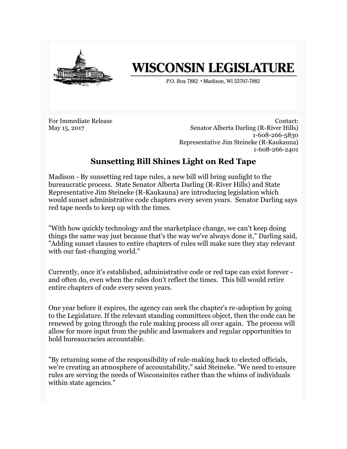

## **WISCONSIN LEGISLATURE**

P.O. Box 7882 . Madison, WI 53707-7882

For Immediate Release May 15, 2017

Contact: Senator Alberta Darling (R-River Hills) 1-608-266-5830 Representative Jim Steineke (R-Kaukauna) 1-608-266-2401

## **Sunsetting Bill Shines Light on Red Tape**

Madison - By sunsetting red tape rules, a new bill will bring sunlight to the bureaucratic process. State Senator Alberta Darling (R-River Hills) and State Representative Jim Steineke (R-Kaukauna) are introducing legislation which would sunset administrative code chapters every seven years. Senator Darling says red tape needs to keep up with the times.

"With how quickly technology and the marketplace change, we can't keep doing things the same way just because that's the way we've always done it," Darling said, "Adding sunset clauses to entire chapters of rules will make sure they stay relevant with our fast-changing world."

Currently, once it's established, administrative code or red tape can exist forever and often do, even when the rules don't reflect the times. This bill would retire entire chapters of code every seven years.

One year before it expires, the agency can seek the chapter's re-adoption by going to the Legislature. If the relevant standing committees object, then the code can be renewed by going through the rule making process all over again. The process will allow for more input from the public and lawmakers and regular opportunities to hold bureaucracies accountable.

"By returning some of the responsibility of rule-making back to elected officials, we're creating an atmosphere of accountability," said Steineke. "We need to ensure rules are serving the needs of Wisconsinites rather than the whims of individuals within state agencies."